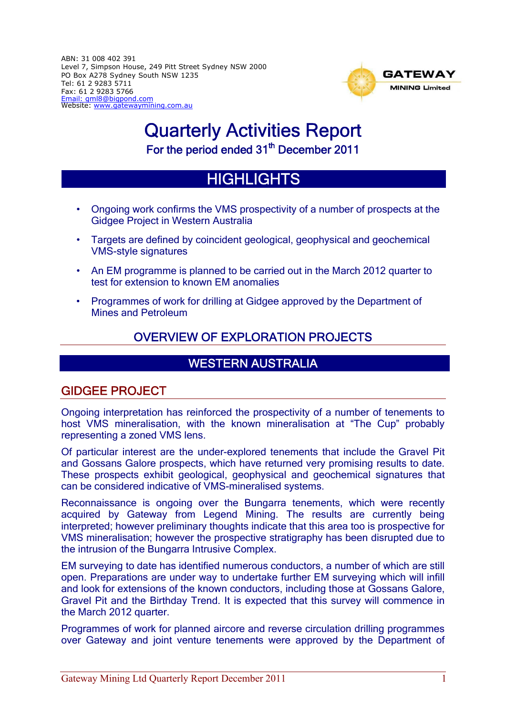ABN: 31 008 402 391 Level 7, Simpson House, 249 Pitt Street Sydney NSW 2000 PO Box A278 Sydney South NSW 1235 Tel: 61 2 9283 5711 Fax: 61 2 9283 5766 Email: gml8@bigpond.com Website: www.gatewaymining.com.au



# Quarterly Activities Report For the period ended 31<sup>th</sup> December 2011

# **HIGHLIGHTS**

- Ongoing work confirms the VMS prospectivity of a number of prospects at the Gidgee Project in Western Australia
- Targets are defined by coincident geological, geophysical and geochemical VMS-style signatures
- An EM programme is planned to be carried out in the March 2012 quarter to test for extension to known EM anomalies
- Programmes of work for drilling at Gidgee approved by the Department of Mines and Petroleum

## OVERVIEW OF EXPLORATION PROJECTS

## WESTERN AUSTRALIA

## GIDGEE PROJECT

Ongoing interpretation has reinforced the prospectivity of a number of tenements to host VMS mineralisation, with the known mineralisation at "The Cup" probably representing a zoned VMS lens.

Of particular interest are the under-explored tenements that include the Gravel Pit and Gossans Galore prospects, which have returned very promising results to date. These prospects exhibit geological, geophysical and geochemical signatures that can be considered indicative of VMS-mineralised systems.

Reconnaissance is ongoing over the Bungarra tenements, which were recently acquired by Gateway from Legend Mining. The results are currently being interpreted; however preliminary thoughts indicate that this area too is prospective for VMS mineralisation; however the prospective stratigraphy has been disrupted due to the intrusion of the Bungarra Intrusive Complex.

EM surveying to date has identified numerous conductors, a number of which are still open. Preparations are under way to undertake further EM surveying which will infill and look for extensions of the known conductors, including those at Gossans Galore, Gravel Pit and the Birthday Trend. It is expected that this survey will commence in the March 2012 quarter.

Programmes of work for planned aircore and reverse circulation drilling programmes over Gateway and joint venture tenements were approved by the Department of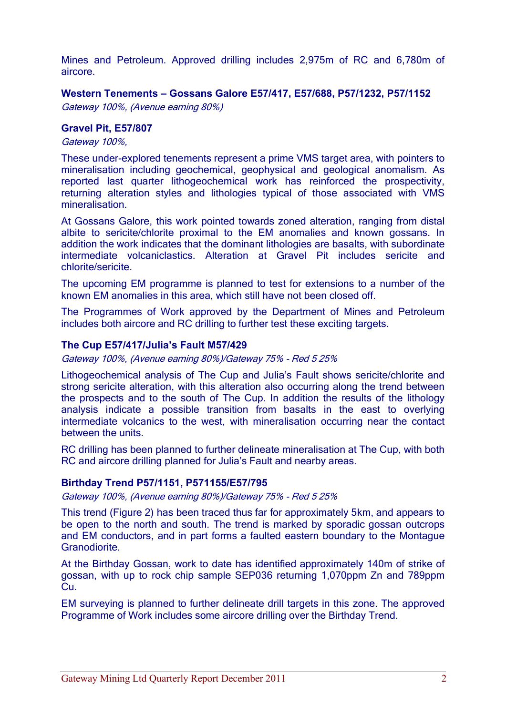Mines and Petroleum. Approved drilling includes 2,975m of RC and 6,780m of aircore.

#### **Western Tenements – Gossans Galore E57/417, E57/688, P57/1232, P57/1152**

Gateway 100%, (Avenue earning 80%)

#### **Gravel Pit, E57/807**

Gateway 100%,

These under-explored tenements represent a prime VMS target area, with pointers to mineralisation including geochemical, geophysical and geological anomalism. As reported last quarter lithogeochemical work has reinforced the prospectivity, returning alteration styles and lithologies typical of those associated with VMS mineralisation.

At Gossans Galore, this work pointed towards zoned alteration, ranging from distal albite to sericite/chlorite proximal to the EM anomalies and known gossans. In addition the work indicates that the dominant lithologies are basalts, with subordinate intermediate volcaniclastics. Alteration at Gravel Pit includes sericite and chlorite/sericite.

The upcoming EM programme is planned to test for extensions to a number of the known EM anomalies in this area, which still have not been closed off.

The Programmes of Work approved by the Department of Mines and Petroleum includes both aircore and RC drilling to further test these exciting targets.

#### **The Cup E57/417/Julia's Fault M57/429**

Gateway 100%, (Avenue earning 80%)/Gateway 75% - Red 5 25%

Lithogeochemical analysis of The Cup and Julia's Fault shows sericite/chlorite and strong sericite alteration, with this alteration also occurring along the trend between the prospects and to the south of The Cup. In addition the results of the lithology analysis indicate a possible transition from basalts in the east to overlying intermediate volcanics to the west, with mineralisation occurring near the contact between the units.

RC drilling has been planned to further delineate mineralisation at The Cup, with both RC and aircore drilling planned for Julia's Fault and nearby areas.

#### **Birthday Trend P57/1151, P571155/E57/795**

Gateway 100%, (Avenue earning 80%)/Gateway 75% - Red 5 25%

This trend (Figure 2) has been traced thus far for approximately 5km, and appears to be open to the north and south. The trend is marked by sporadic gossan outcrops and EM conductors, and in part forms a faulted eastern boundary to the Montague Granodiorite.

At the Birthday Gossan, work to date has identified approximately 140m of strike of gossan, with up to rock chip sample SEP036 returning 1,070ppm Zn and 789ppm Cu.

EM surveying is planned to further delineate drill targets in this zone. The approved Programme of Work includes some aircore drilling over the Birthday Trend.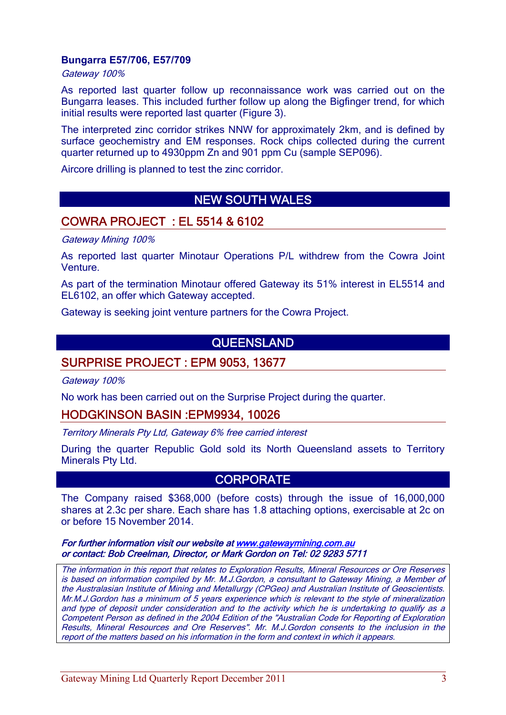#### **Bungarra E57/706, E57/709**

Gateway 100%

As reported last quarter follow up reconnaissance work was carried out on the Bungarra leases. This included further follow up along the Bigfinger trend, for which initial results were reported last quarter (Figure 3).

The interpreted zinc corridor strikes NNW for approximately 2km, and is defined by surface geochemistry and EM responses. Rock chips collected during the current quarter returned up to 4930ppm Zn and 901 ppm Cu (sample SEP096).

Aircore drilling is planned to test the zinc corridor.

## NEW SOUTH WALES

### COWRA PROJECT : EL 5514 & 6102

Gateway Mining 100%

As reported last quarter Minotaur Operations P/L withdrew from the Cowra Joint Venture.

As part of the termination Minotaur offered Gateway its 51% interest in EL5514 and EL6102, an offer which Gateway accepted.

Gateway is seeking joint venture partners for the Cowra Project.

## QUEENSLAND

## SURPRISE PROJECT : EPM 9053, 13677

Gateway 100%

No work has been carried out on the Surprise Project during the quarter.

#### HODGKINSON BASIN :EPM9934, 10026

Territory Minerals Pty Ltd, Gateway 6% free carried interest

During the quarter Republic Gold sold its North Queensland assets to Territory Minerals Pty Ltd.

## **CORPORATE**

The Company raised \$368,000 (before costs) through the issue of 16,000,000 shares at 2.3c per share. Each share has 1.8 attaching options, exercisable at 2c on or before 15 November 2014.

For further information visit our website at www.gatewaymining.com.au or contact: Bob Creelman, Director, or Mark Gordon on Tel: 02 9283 5711

The information in this report that relates to Exploration Results, Mineral Resources or Ore Reserves is based on information compiled by Mr. M.J.Gordon, a consultant to Gateway Mining, a Member of the Australasian Institute of Mining and Metallurgy (CPGeo) and Australian Institute of Geoscientists. Mr.M.J.Gordon has a minimum of 5 years experience which is relevant to the style of mineralization and type of deposit under consideration and to the activity which he is undertaking to qualify as a Competent Person as defined in the 2004 Edition of the "Australian Code for Reporting of Exploration Results, Mineral Resources and Ore Reserves". Mr. M.J.Gordon consents to the inclusion in the report of the matters based on his information in the form and context in which it appears.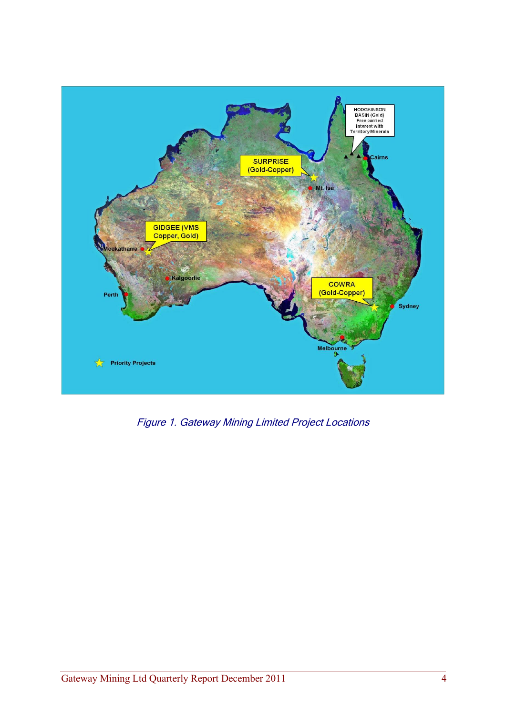

Figure 1. Gateway Mining Limited Project Locations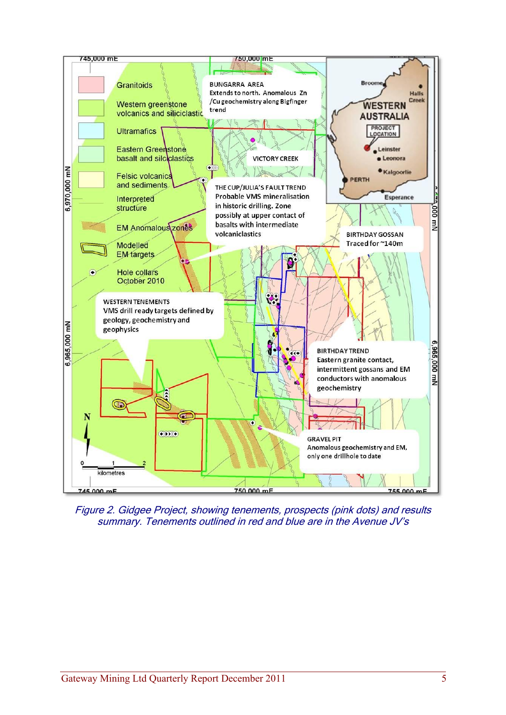

Figure 2. Gidgee Project, showing tenements, prospects (pink dots) and results summary. Tenements outlined in red and blue are in the Avenue JV's